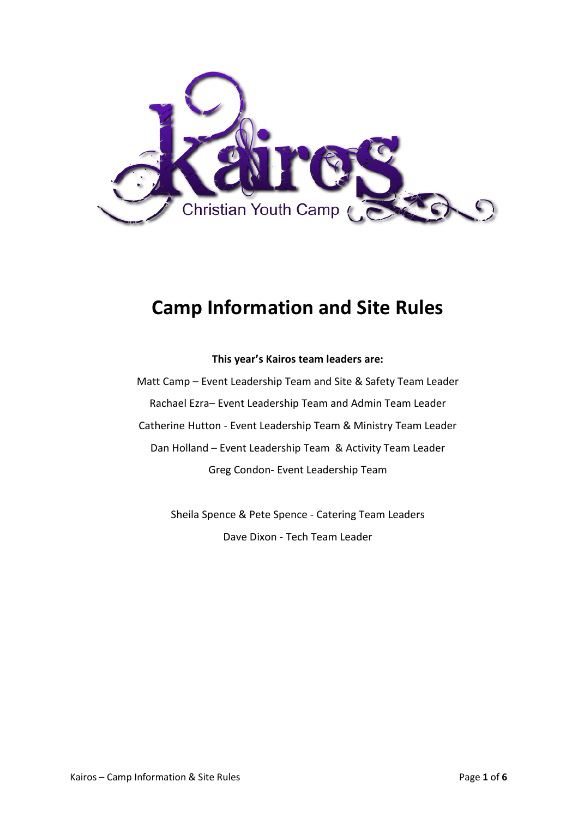

# **Camp Information and Site Rules**

#### **This year's Kairos team leaders are:**

Matt Camp – Event Leadership Team and Site & Safety Team Leader Rachael Ezra– Event Leadership Team and Admin Team Leader Catherine Hutton - Event Leadership Team & Ministry Team Leader Dan Holland – Event Leadership Team & Activity Team Leader Greg Condon- Event Leadership Team

> Sheila Spence & Pete Spence - Catering Team Leaders Dave Dixon - Tech Team Leader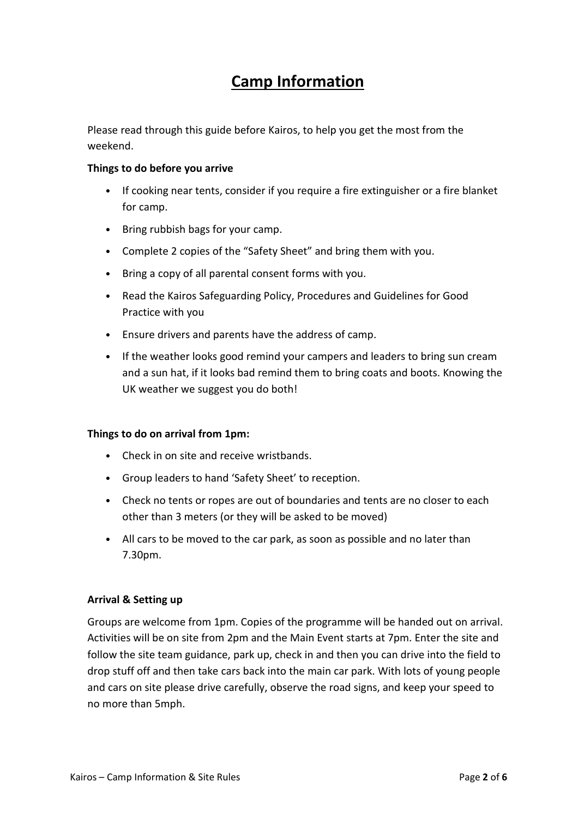# **Camp Information**

Please read through this guide before Kairos, to help you get the most from the weekend.

#### **Things to do before you arrive**

- If cooking near tents, consider if you require a fire extinguisher or a fire blanket for camp.
- Bring rubbish bags for your camp.
- Complete 2 copies of the "Safety Sheet" and bring them with you.
- Bring a copy of all parental consent forms with you.
- Read the Kairos Safeguarding Policy, Procedures and Guidelines for Good Practice with you
- Ensure drivers and parents have the address of camp.
- If the weather looks good remind your campers and leaders to bring sun cream and a sun hat, if it looks bad remind them to bring coats and boots. Knowing the UK weather we suggest you do both!

#### **Things to do on arrival from 1pm:**

- Check in on site and receive wristbands.
- Group leaders to hand 'Safety Sheet' to reception.
- Check no tents or ropes are out of boundaries and tents are no closer to each other than 3 meters (or they will be asked to be moved)
- All cars to be moved to the car park, as soon as possible and no later than 7.30pm.

#### **Arrival & Setting up**

Groups are welcome from 1pm. Copies of the programme will be handed out on arrival. Activities will be on site from 2pm and the Main Event starts at 7pm. Enter the site and follow the site team guidance, park up, check in and then you can drive into the field to drop stuff off and then take cars back into the main car park. With lots of young people and cars on site please drive carefully, observe the road signs, and keep your speed to no more than 5mph.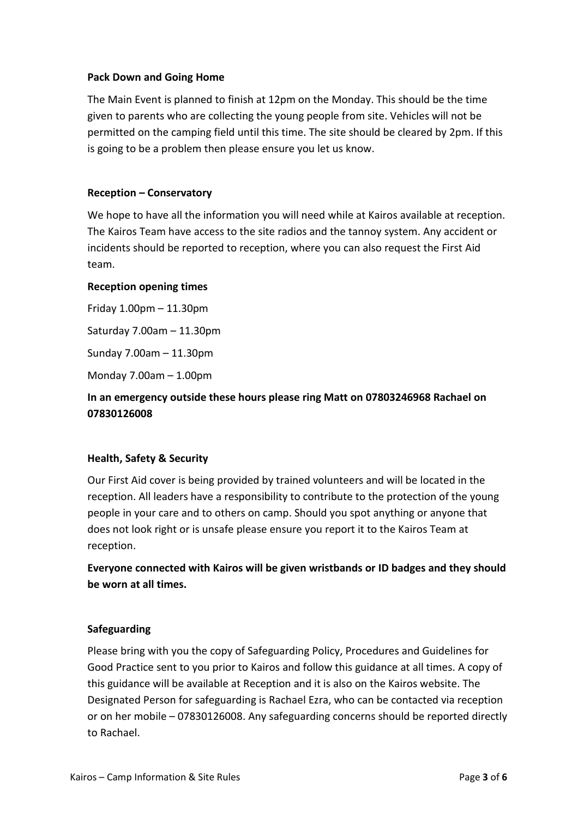#### **Pack Down and Going Home**

The Main Event is planned to finish at 12pm on the Monday. This should be the time given to parents who are collecting the young people from site. Vehicles will not be permitted on the camping field until this time. The site should be cleared by 2pm. If this is going to be a problem then please ensure you let us know.

#### **Reception – Conservatory**

We hope to have all the information you will need while at Kairos available at reception. The Kairos Team have access to the site radios and the tannoy system. Any accident or incidents should be reported to reception, where you can also request the First Aid team.

#### **Reception opening times**

Friday 1.00pm – 11.30pm Saturday 7.00am – 11.30pm

Sunday 7.00am – 11.30pm

Monday 7.00am – 1.00pm

# **In an emergency outside these hours please ring Matt on 07803246968 Rachael on 07830126008**

#### **Health, Safety & Security**

Our First Aid cover is being provided by trained volunteers and will be located in the reception. All leaders have a responsibility to contribute to the protection of the young people in your care and to others on camp. Should you spot anything or anyone that does not look right or is unsafe please ensure you report it to the Kairos Team at reception.

**Everyone connected with Kairos will be given wristbands or ID badges and they should be worn at all times.**

#### **Safeguarding**

Please bring with you the copy of Safeguarding Policy, Procedures and Guidelines for Good Practice sent to you prior to Kairos and follow this guidance at all times. A copy of this guidance will be available at Reception and it is also on the Kairos website. The Designated Person for safeguarding is Rachael Ezra, who can be contacted via reception or on her mobile – 07830126008. Any safeguarding concerns should be reported directly to Rachael.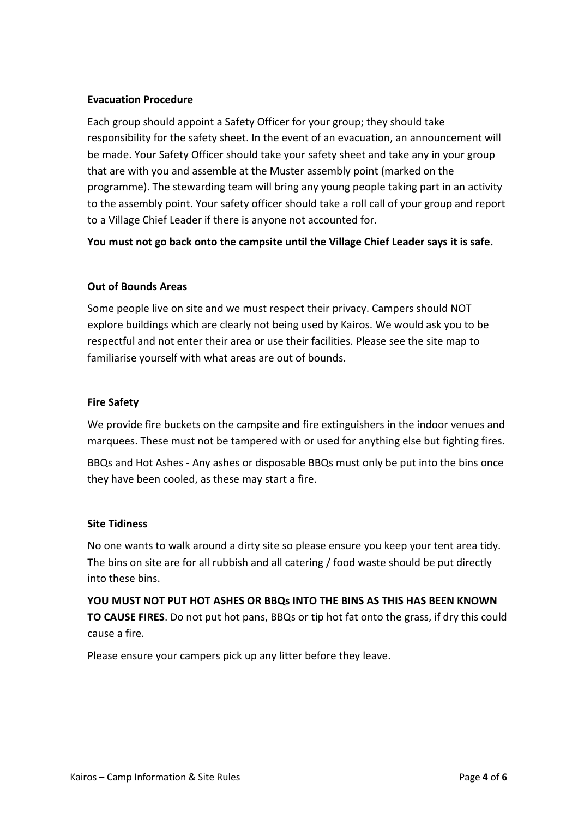#### **Evacuation Procedure**

Each group should appoint a Safety Officer for your group; they should take responsibility for the safety sheet. In the event of an evacuation, an announcement will be made. Your Safety Officer should take your safety sheet and take any in your group that are with you and assemble at the Muster assembly point (marked on the programme). The stewarding team will bring any young people taking part in an activity to the assembly point. Your safety officer should take a roll call of your group and report to a Village Chief Leader if there is anyone not accounted for.

**You must not go back onto the campsite until the Village Chief Leader says it is safe.**

#### **Out of Bounds Areas**

Some people live on site and we must respect their privacy. Campers should NOT explore buildings which are clearly not being used by Kairos. We would ask you to be respectful and not enter their area or use their facilities. Please see the site map to familiarise yourself with what areas are out of bounds.

#### **Fire Safety**

We provide fire buckets on the campsite and fire extinguishers in the indoor venues and marquees. These must not be tampered with or used for anything else but fighting fires.

BBQs and Hot Ashes - Any ashes or disposable BBQs must only be put into the bins once they have been cooled, as these may start a fire.

#### **Site Tidiness**

No one wants to walk around a dirty site so please ensure you keep your tent area tidy. The bins on site are for all rubbish and all catering / food waste should be put directly into these bins.

**YOU MUST NOT PUT HOT ASHES OR BBQs INTO THE BINS AS THIS HAS BEEN KNOWN TO CAUSE FIRES**. Do not put hot pans, BBQs or tip hot fat onto the grass, if dry this could cause a fire.

Please ensure your campers pick up any litter before they leave.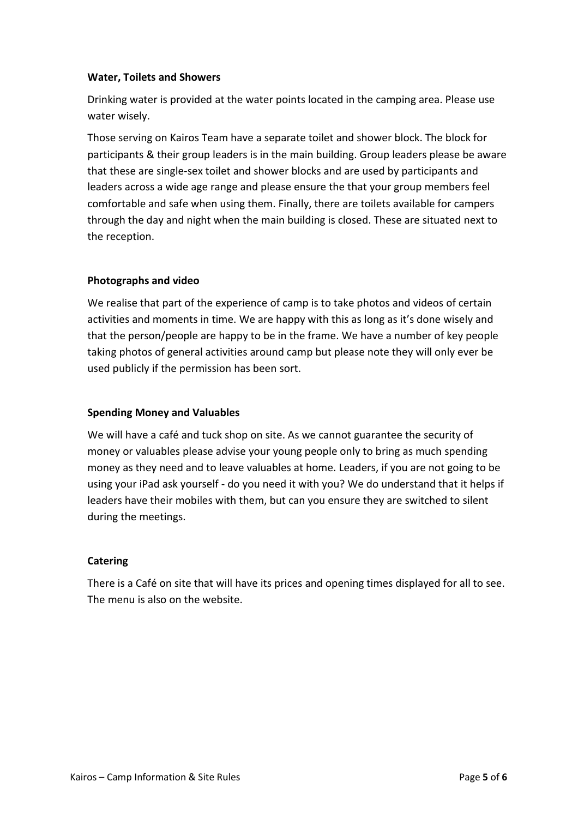#### **Water, Toilets and Showers**

Drinking water is provided at the water points located in the camping area. Please use water wisely.

Those serving on Kairos Team have a separate toilet and shower block. The block for participants & their group leaders is in the main building. Group leaders please be aware that these are single-sex toilet and shower blocks and are used by participants and leaders across a wide age range and please ensure the that your group members feel comfortable and safe when using them. Finally, there are toilets available for campers through the day and night when the main building is closed. These are situated next to the reception.

## **Photographs and video**

We realise that part of the experience of camp is to take photos and videos of certain activities and moments in time. We are happy with this as long as it's done wisely and that the person/people are happy to be in the frame. We have a number of key people taking photos of general activities around camp but please note they will only ever be used publicly if the permission has been sort.

### **Spending Money and Valuables**

We will have a café and tuck shop on site. As we cannot guarantee the security of money or valuables please advise your young people only to bring as much spending money as they need and to leave valuables at home. Leaders, if you are not going to be using your iPad ask yourself - do you need it with you? We do understand that it helps if leaders have their mobiles with them, but can you ensure they are switched to silent during the meetings.

#### **Catering**

There is a Café on site that will have its prices and opening times displayed for all to see. The menu is also on the website.